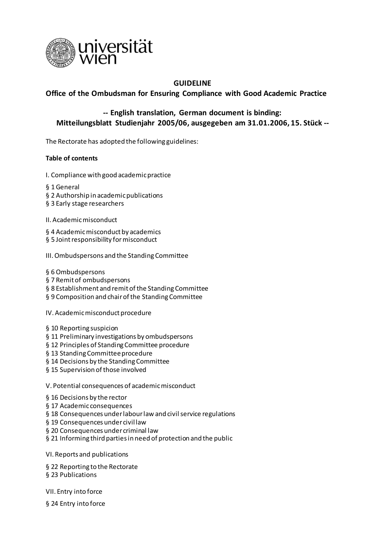

# **GUIDELINE**

# **Office of the Ombudsman for Ensuring Compliance with Good Academic Practice**

# **-- English translation, German document is binding: Mitteilungsblatt Studienjahr 2005/06, ausgegeben am 31.01.2006, 15. Stück --**

The Rectorate has adopted the following guidelines:

#### **Table of contents**

- I. Compliance with good academic practice
- § 1 General
- § 2 Authorship in academic publications
- § 3 Early stage researchers
- II. Academic misconduct
- § 4 Academic misconduct by academics
- § 5 Joint responsibility for misconduct
- III. Ombudspersons and the Standing Committee
- § 6 Ombudspersons
- § 7 Remit of ombudspersons
- § 8 Establishment and remit of the Standing Committee
- § 9 Composition and chair of the Standing Committee

IV. Academic misconduct procedure

- § 10 Reporting suspicion
- § 11 Preliminary investigations by ombudspersons
- § 12 Principles of Standing Committee procedure
- § 13 Standing Committee procedure
- § 14 Decisions by the Standing Committee
- § 15 Supervision of those involved
- V. Potential consequences of academic misconduct
- § 16 Decisions by the rector
- § 17 Academic consequences
- § 18 Consequences under labour law and civil service regulations
- § 19 Consequences under civil law
- § 20 Consequences under criminal law
- § 21 Informing third parties in need of protection and the public
- VI. Reports and publications
- § 22 Reporting to the Rectorate
- § 23 Publications
- VII. Entry into force
- § 24 Entry into force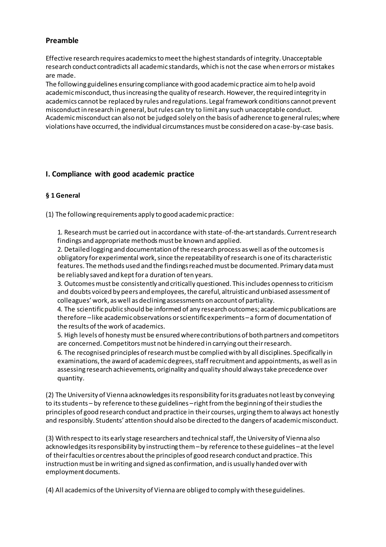# **Preamble**

Effective research requires academics to meet the highest standards of integrity. Unacceptable research conduct contradicts all academic standards, which is not the case when errors or mistakes are made.

The following guidelines ensuring compliance with good academic practice aim to help avoid academic misconduct, thus increasing the quality of research. However, the required integrity in academics cannot be replaced by rules and regulations. Legal framework conditions cannot prevent misconduct in research in general, but rules can try to limit any such unacceptable conduct. Academic misconduct can also not be judged solely on the basis of adherence to general rules; where violations have occurred, the individual circumstances must be considered on a case-by-case basis.

# **I. Compliance with good academic practice**

# **§ 1 General**

(1) The following requirements apply to good academic practice:

1. Research must be carried out in accordance with state-of-the-art standards. Current research findings and appropriate methods must be known and applied.

2. Detailed logging and documentation of the research process as well as of the outcomes is obligatory for experimental work, since the repeatability of research is one of its characteristic features. The methods used and the findings reached must be documented. Primary data must be reliably saved and kept for a duration of ten years.

3. Outcomes must be consistently and critically questioned. This includes openness to criticism and doubts voiced by peers and employees, the careful, altruistic and unbiased assessment of colleagues' work, as well as declining assessments on account of partiality.

4. The scientific public should be informed of any research outcomes; academic publications are therefore –like academic observations or scientific experiments –a form of documentation of the results of the work of academics.

5. High levels of honesty must be ensured where contributions of both partners and competitors are concerned. Competitors must not be hindered in carrying out their research.

6. The recognised principles of research must be complied with by all disciplines. Specifically in examinations, the award of academic degrees, staff recruitment and appointments, as well as in assessing research achievements, originality and quality should always take precedence over quantity.

(2) The University of Vienna acknowledges its responsibility for its graduates not least by conveying to its students – by reference to these guidelines – right from the beginning of their studies the principles of good research conduct and practice in their courses, urging them to always act honestly and responsibly. Students' attention should also be directed to the dangers of academic misconduct.

(3) With respect to its early stage researchers and technical staff, the University of Vienna also acknowledges its responsibility by instructing them –by reference to these guidelines –at the level of their faculties or centres about the principles of good research conduct and practice. This instruction must be in writing and signed as confirmation, and is usually handed over with employment documents.

(4) All academics of the University of Vienna are obliged to comply with these guidelines.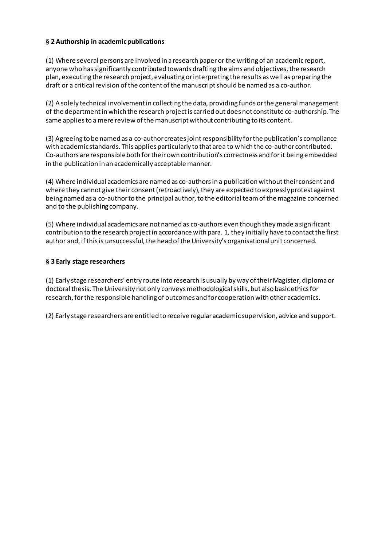# **§ 2 Authorship in academic publications**

(1) Where several persons are involved in a research paper or the writing of an academic report, anyone who has significantly contributed towards drafting the aims and objectives, the research plan, executing the research project, evaluating or interpreting the results as well as preparing the draft or a critical revision of the content of the manuscript should be named as a co-author.

(2) A solely technical involvement in collecting the data, providing funds or the general management of the department in which the research project is carried out does not constitute co-authorship. The same applies to a mere review of the manuscript without contributing to its content.

(3) Agreeing to be named as a co-author creates joint responsibility for the publication's compliance with academic standards. This applies particularly to that area to which the co-author contributed. Co-authors are responsible both for their own contribution's correctness and for it being embedded in the publication in an academically acceptable manner.

(4) Where individual academics are named as co-authors in a publication without their consent and where they cannot give their consent (retroactively), they are expected to expressly protest against being named as a co-author to the principal author, to the editorial team of the magazine concerned and to the publishing company.

(5) Where individual academics are not named as co-authors even though they made a significant contribution to the research project in accordance with para. 1, they initially have to contact the first author and, if this is unsuccessful, the head of the University's organisational unit concerned.

# **§ 3 Early stage researchers**

(1) Early stage researchers' entry route into research is usually by way of their Magister, diploma or doctoral thesis. The University not only conveys methodological skills, but also basic ethics for research, for the responsible handling of outcomes and for cooperation with other academics.

(2) Early stage researchers are entitled to receive regular academic supervision, advice and support.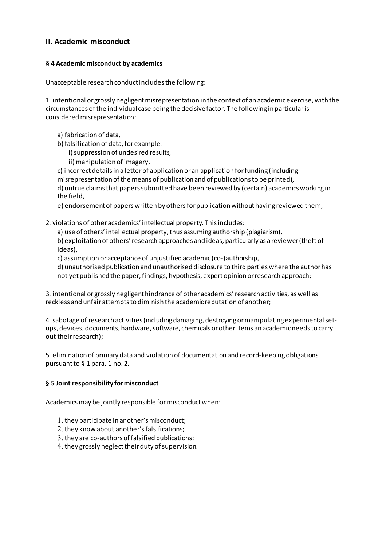# **II. Academic misconduct**

#### **§ 4 Academic misconduct by academics**

Unacceptable research conduct includes the following:

1. intentional or grossly negligent misrepresentation in the context of an academic exercise, with the circumstances of the individual case being the decisive factor. The following in particular is considered misrepresentation:

a) fabrication of data,

b) falsification of data, for example:

i) suppression of undesired results,

ii) manipulation of imagery,

c) incorrect details in a letter of application or an application for funding (including

misrepresentation of the means of publication and of publications to be printed),

d) untrue claims that papers submitted have been reviewed by (certain) academics working in the field,

e) endorsement of papers written by others for publication without having reviewed them;

#### 2. violations of other academics' intellectual property. Thisincludes:

a) use of others' intellectual property, thus assuming authorship (plagiarism), b) exploitation of others' research approaches and ideas, particularly as a reviewer (theft of ideas),

c) assumption or acceptance of unjustified academic (co-)authorship,

d) unauthorised publication and unauthorised disclosure to third parties where the author has not yet published the paper, findings, hypothesis, expert opinion or research approach;

3. intentional or grossly negligent hindrance of other academics' research activities, as well as reckless and unfair attempts to diminish the academic reputation of another;

4. sabotage of research activities (including damaging, destroying or manipulating experimental setups, devices, documents, hardware, software, chemicals or other items an academic needs to carry out their research);

5. elimination of primary data and violation of documentation and record-keeping obligations pursuant to § 1 para. 1 no. 2.

#### **§ 5 Joint responsibility for misconduct**

Academics may be jointly responsible for misconduct when:

- 1. they participate in another's misconduct;
- 2. they know about another's falsifications;
- 3. they are co-authors of falsified publications;
- 4. they grossly neglect their duty of supervision.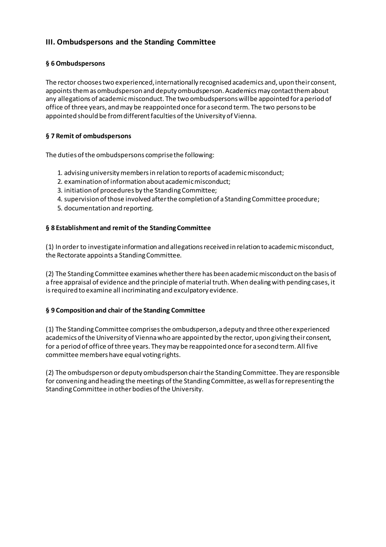# **III. Ombudspersons and the Standing Committee**

### **§ 6 Ombudspersons**

The rector chooses two experienced, internationally recognised academics and, upon their consent, appoints them as ombudsperson and deputy ombudsperson. Academics may contact them about any allegations of academic misconduct. The two ombudspersons will be appointed for a period of office of three years, and may be reappointed once for a second term. The two persons to be appointed should be from different faculties of the University of Vienna.

# **§ 7 Remit of ombudspersons**

The duties of the ombudspersons comprise the following:

- 1. advising university members in relation to reports of academic misconduct;
- 2. examination of information about academic misconduct;
- 3. initiation of procedures by the Standing Committee;
- 4. supervision of those involved after the completion of a Standing Committee procedure;
- 5. documentation and reporting.

#### **§ 8 Establishment and remit of the Standing Committee**

(1) In order to investigate information and allegations received in relation to academic misconduct, the Rectorate appoints a Standing Committee.

(2) The Standing Committee examines whether there has been academic misconduct on the basis of a free appraisal of evidence and the principle of material truth. When dealing with pending cases, it is required to examine all incriminating and exculpatory evidence.

#### **§ 9 Composition and chair of the Standing Committee**

(1) The Standing Committee comprises the ombudsperson, a deputy and three other experienced academics of the University of Vienna who are appointed by the rector, upon giving their consent, for a period of office of three years. They may be reappointed once for a second term. All five committee members have equal voting rights.

(2) The ombudsperson or deputy ombudsperson chair the Standing Committee. They are responsible for convening and heading the meetings of the Standing Committee, as well as for representing the Standing Committee in other bodies of the University.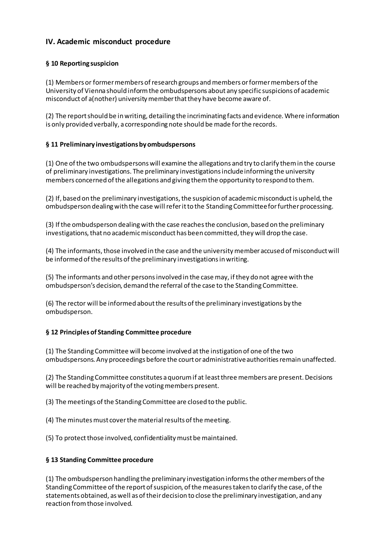# **IV. Academic misconduct procedure**

# **§ 10 Reporting suspicion**

(1) Members or former members of research groups and members or former members of the University of Vienna should inform the ombudspersons about any specific suspicions of academic misconduct of a(nother) university member that they have become aware of.

(2) The report should be in writing, detailing the incriminating facts and evidence. Where information is only provided verbally, a corresponding note should be made for the records.

# **§ 11 Preliminary investigations by ombudspersons**

(1) One of the two ombudspersons will examine the allegations and try to clarify them in the course of preliminary investigations. The preliminary investigations include informing the university members concerned of the allegations and giving them the opportunity to respond to them.

(2) If, based on the preliminary investigations, the suspicion of academic misconduct is upheld, the ombudsperson dealing with the case will refer it to the Standing Committee for further processing.

(3) If the ombudsperson dealing with the case reaches the conclusion, based on the preliminary investigations, that no academic misconduct has been committed, they will drop the case.

(4) The informants, those involved in the case and the university member accused of misconduct will be informed of the results of the preliminary investigations in writing.

(5) The informants and other persons involved in the case may, if they do not agree with the ombudsperson's decision, demand the referral of the case to the Standing Committee.

(6) The rector will be informed about the results of the preliminary investigations by the ombudsperson.

# **§ 12 Principles of Standing Committee procedure**

(1) The Standing Committee will become involved at the instigation of one of the two ombudspersons. Any proceedings before the court or administrative authorities remain unaffected.

(2) The Standing Committee constitutes a quorum if at least three members are present. Decisions will be reached by majority of the voting members present.

(3) The meetings of the Standing Committee are closed to the public.

- (4) The minutes must cover the material results of the meeting.
- (5) To protect those involved, confidentiality must be maintained.

# **§ 13 Standing Committee procedure**

(1) The ombudsperson handling the preliminary investigation informs the other members of the Standing Committee of the report of suspicion, of the measures taken to clarify the case, of the statements obtained, as well as of their decision to close the preliminary investigation, and any reaction from those involved.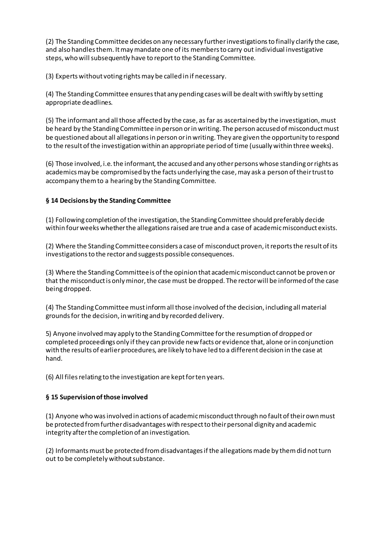(2) The Standing Committee decides on any necessary further investigations to finally clarify the case, and also handles them. It may mandate one of its members to carry out individual investigative steps, who will subsequently have to report to the Standing Committee.

(3) Experts without voting rights may be called in if necessary.

(4) The Standing Committee ensures that any pending cases will be dealt with swiftly by setting appropriate deadlines.

(5) The informant and all those affected by the case, as far as ascertained by the investigation, must be heard by the Standing Committee in person or in writing. The person accused of misconduct must be questioned about all allegations in person or in writing. They are given the opportunity to respond to the result of the investigation within an appropriate period of time (usually within three weeks).

(6) Those involved, i.e. the informant, the accused and any other persons whose standing or rights as academics may be compromised by the facts underlying the case, may ask a person of their trust to accompany them to a hearing by the Standing Committee.

# **§ 14 Decisions by the Standing Committee**

(1) Following completion of the investigation, the Standing Committee should preferably decide within four weeks whether the allegations raised are true and a case of academic misconduct exists.

(2) Where the Standing Committee considers a case of misconduct proven, it reports the result of its investigations to the rector and suggests possible consequences.

(3) Where the Standing Committee is of the opinion that academic misconduct cannot be proven or that the misconduct is only minor, the case must be dropped. The rector will be informed of the case being dropped.

(4) The Standing Committee must inform all those involved of the decision, including all material grounds for the decision, in writing and by recorded delivery.

5) Anyone involved may apply to the Standing Committee for the resumption of dropped or completed proceedings only if they can provide new facts or evidence that, alone or in conjunction with the results of earlier procedures, are likely to have led to a different decision in the case at hand.

(6) All files relating to the investigation are kept for ten years.

# **§ 15 Supervision of those involved**

(1) Anyone who was involved in actions of academic misconduct through no fault of their own must be protected from further disadvantages with respect to their personal dignity and academic integrity after the completion of an investigation.

(2) Informants must be protected from disadvantages if the allegations made by them did not turn out to be completely without substance.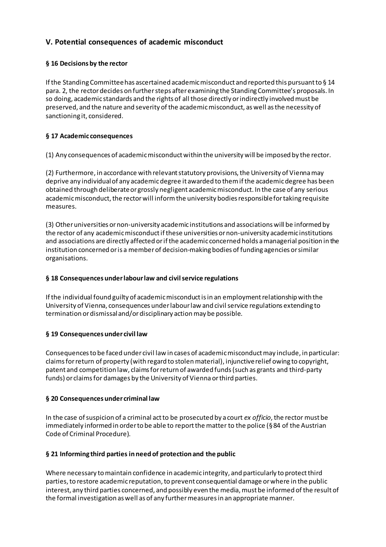# **V. Potential consequences of academic misconduct**

# **§ 16 Decisions by the rector**

If the Standing Committee has ascertained academic misconduct and reported this pursuant to § 14 para. 2, the rector decides on further steps after examining the Standing Committee's proposals. In so doing, academic standards and the rights of all those directly or indirectly involved must be preserved, and the nature and severity of the academic misconduct, as well as the necessity of sanctioning it, considered.

# **§ 17 Academic consequences**

(1) Any consequences of academic misconduct within the university will be imposed by the rector.

(2) Furthermore, in accordance with relevant statutory provisions, the University of Vienna may deprive any individual of any academic degree it awarded to them if the academic degree has been obtained through deliberate or grossly negligent academic misconduct. In the case of any serious academic misconduct, the rector will inform the university bodies responsible for taking requisite measures.

(3) Other universities or non-university academic institutions and associations will be informed by the rector of any academic misconduct if these universities or non-university academic institutions and associations are directly affected or if the academic concerned holds a managerial position in the institution concerned or is a member of decision-making bodies of funding agencies or similar organisations.

# **§ 18 Consequences under labour law and civil service regulations**

If the individual found guilty of academic misconduct is in an employment relationship with the University of Vienna, consequences under labour law and civil service regulations extending to termination or dismissal and/or disciplinary action may be possible.

# **§ 19 Consequences under civil law**

Consequences to be faced under civil law in cases of academic misconduct may include, in particular: claims for return of property (with regard to stolen material), injunctive relief owing to copyright, patent and competition law, claims for return of awarded funds (such as grants and third-party funds) or claims for damages by the University of Vienna or third parties.

# **§ 20 Consequences under criminal law**

In the case of suspicion of a criminal act to be prosecuted by a court *ex officio*, the rector must be immediately informed in order to be able to report the matter to the police (§ 84 of the Austrian Code of Criminal Procedure).

# **§ 21 Informing third parties in need of protection and the public**

Where necessary to maintain confidence in academic integrity, and particularly to protect third parties, to restore academic reputation, to prevent consequential damage or where in the public interest, any third parties concerned, and possibly even the media, must be informed of the result of the formal investigation as well as of any further measures in an appropriate manner.